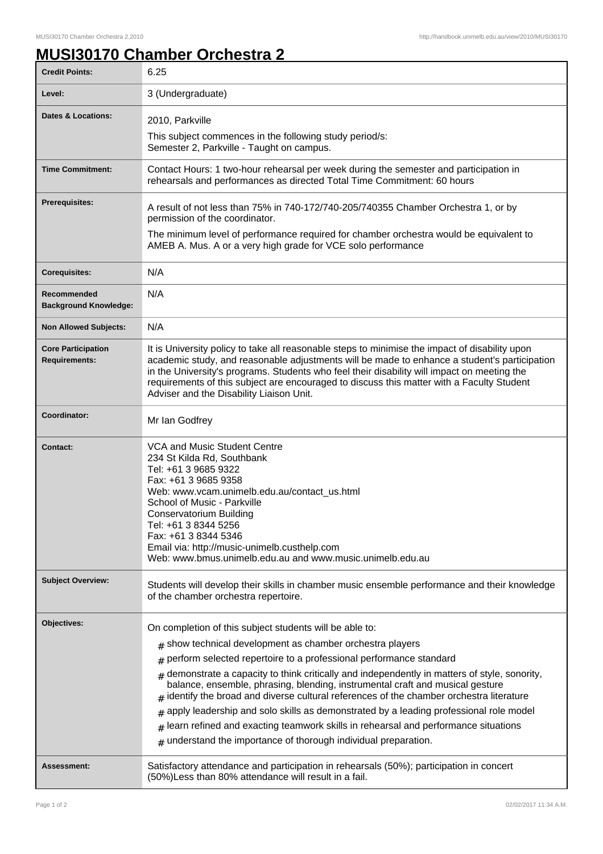## **MUSI30170 Chamber Orchestra 2**

| <b>Credit Points:</b>                             | 6.25                                                                                                                                                                                                                                                                                                                                                                                                                                                                                                                                                                                                                                                                                                                                            |
|---------------------------------------------------|-------------------------------------------------------------------------------------------------------------------------------------------------------------------------------------------------------------------------------------------------------------------------------------------------------------------------------------------------------------------------------------------------------------------------------------------------------------------------------------------------------------------------------------------------------------------------------------------------------------------------------------------------------------------------------------------------------------------------------------------------|
| Level:                                            | 3 (Undergraduate)                                                                                                                                                                                                                                                                                                                                                                                                                                                                                                                                                                                                                                                                                                                               |
| <b>Dates &amp; Locations:</b>                     | 2010, Parkville                                                                                                                                                                                                                                                                                                                                                                                                                                                                                                                                                                                                                                                                                                                                 |
|                                                   | This subject commences in the following study period/s:<br>Semester 2, Parkville - Taught on campus.                                                                                                                                                                                                                                                                                                                                                                                                                                                                                                                                                                                                                                            |
| <b>Time Commitment:</b>                           | Contact Hours: 1 two-hour rehearsal per week during the semester and participation in<br>rehearsals and performances as directed Total Time Commitment: 60 hours                                                                                                                                                                                                                                                                                                                                                                                                                                                                                                                                                                                |
| <b>Prerequisites:</b>                             | A result of not less than 75% in 740-172/740-205/740355 Chamber Orchestra 1, or by<br>permission of the coordinator.                                                                                                                                                                                                                                                                                                                                                                                                                                                                                                                                                                                                                            |
|                                                   | The minimum level of performance required for chamber orchestra would be equivalent to<br>AMEB A. Mus. A or a very high grade for VCE solo performance                                                                                                                                                                                                                                                                                                                                                                                                                                                                                                                                                                                          |
| <b>Corequisites:</b>                              | N/A                                                                                                                                                                                                                                                                                                                                                                                                                                                                                                                                                                                                                                                                                                                                             |
| Recommended<br><b>Background Knowledge:</b>       | N/A                                                                                                                                                                                                                                                                                                                                                                                                                                                                                                                                                                                                                                                                                                                                             |
| <b>Non Allowed Subjects:</b>                      | N/A                                                                                                                                                                                                                                                                                                                                                                                                                                                                                                                                                                                                                                                                                                                                             |
| <b>Core Participation</b><br><b>Requirements:</b> | It is University policy to take all reasonable steps to minimise the impact of disability upon<br>academic study, and reasonable adjustments will be made to enhance a student's participation<br>in the University's programs. Students who feel their disability will impact on meeting the<br>requirements of this subject are encouraged to discuss this matter with a Faculty Student<br>Adviser and the Disability Liaison Unit.                                                                                                                                                                                                                                                                                                          |
| Coordinator:                                      | Mr Ian Godfrey                                                                                                                                                                                                                                                                                                                                                                                                                                                                                                                                                                                                                                                                                                                                  |
| <b>Contact:</b>                                   | VCA and Music Student Centre<br>234 St Kilda Rd, Southbank<br>Tel: +61 3 9685 9322<br>Fax: +61 3 9685 9358<br>Web: www.vcam.unimelb.edu.au/contact_us.html<br>School of Music - Parkville<br><b>Conservatorium Building</b><br>Tel: +61 3 8344 5256<br>Fax: +61 3 8344 5346<br>Email via: http://music-unimelb.custhelp.com<br>Web: www.bmus.unimelb.edu.au and www.music.unimelb.edu.au                                                                                                                                                                                                                                                                                                                                                        |
| <b>Subject Overview:</b>                          | Students will develop their skills in chamber music ensemble performance and their knowledge<br>of the chamber orchestra repertoire.                                                                                                                                                                                                                                                                                                                                                                                                                                                                                                                                                                                                            |
| Objectives:                                       | On completion of this subject students will be able to:<br>$*$ show technical development as chamber orchestra players<br>perform selected repertoire to a professional performance standard<br>#<br>demonstrate a capacity to think critically and independently in matters of style, sonority,<br>#<br>balance, ensemble, phrasing, blending, instrumental craft and musical gesture<br>identify the broad and diverse cultural references of the chamber orchestra literature<br>apply leadership and solo skills as demonstrated by a leading professional role model<br>#<br>learn refined and exacting teamwork skills in rehearsal and performance situations<br>#<br>understand the importance of thorough individual preparation.<br># |
| <b>Assessment:</b>                                | Satisfactory attendance and participation in rehearsals (50%); participation in concert<br>(50%) Less than 80% attendance will result in a fail.                                                                                                                                                                                                                                                                                                                                                                                                                                                                                                                                                                                                |